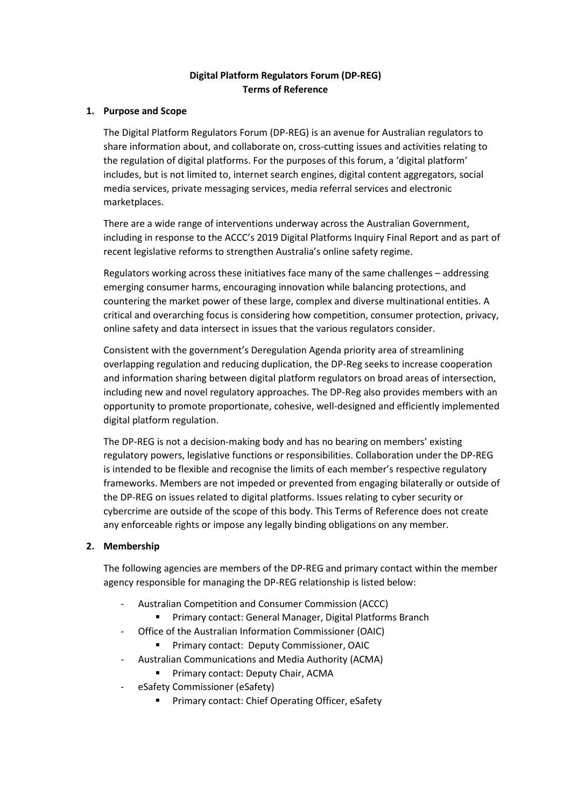# **Digital Platform Regulators Forum (DP-REG) Terms of Reference**

## **1. Purpose and Scope**

The Digital Platform Regulators Forum (DP-REG) is an avenue for Australian regulators to share information about, and collaborate on, cross-cutting issues and activities relating to the regulation of digital platforms. For the purposes of this forum, a 'digital platform' includes, but is not limited to, internet search engines, digital content aggregators, social media services, private messaging services, media referral services and electronic marketplaces.

There are a wide range of interventions underway across the Australian Government, including in response to the ACCC's 2019 Digital Platforms Inquiry Final Report and as part of recent legislative reforms to strengthen Australia's online safety regime.

Regulators working across these initiatives face many of the same challenges – addressing emerging consumer harms, encouraging innovation while balancing protections, and countering the market power of these large, complex and diverse multinational entities. A critical and overarching focus is considering how competition, consumer protection, privacy, online safety and data intersect in issues that the various regulators consider.

Consistent with the government's Deregulation Agenda priority area of streamlining overlapping regulation and reducing duplication, the DP-Reg seeks to increase cooperation and information sharing between digital platform regulators on broad areas of intersection, including new and novel regulatory approaches. The DP-Reg also provides members with an opportunity to promote proportionate, cohesive, well-designed and efficiently implemented digital platform regulation.

The DP-REG is not a decision-making body and has no bearing on members' existing regulatory powers, legislative functions or responsibilities. Collaboration under the DP-REG is intended to be flexible and recognise the limits of each member's respective regulatory frameworks. Members are not impeded or prevented from engaging bilaterally or outside of the DP-REG on issues related to digital platforms. Issues relating to cyber security or cybercrime are outside of the scope of this body. This Terms of Reference does not create any enforceable rights or impose any legally binding obligations on any member.

### **2. Membership**

The following agencies are members of the DP-REG and primary contact within the member agency responsible for managing the DP-REG relationship is listed below:

- Australian Competition and Consumer Commission (ACCC)
	- Primary contact: General Manager, Digital Platforms Branch
- Office of the Australian Information Commissioner (OAIC)
	- **Primary contact: Deputy Commissioner, OAIC**
- Australian Communications and Media Authority (ACMA)
	- **Primary contact: Deputy Chair, ACMA**
- eSafety Commissioner (eSafety)
	- **Primary contact: Chief Operating Officer, eSafety**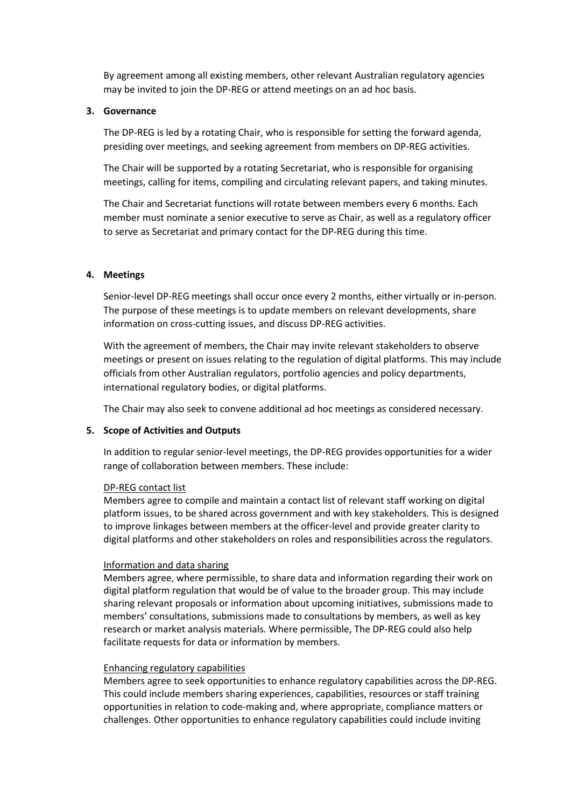By agreement among all existing members, other relevant Australian regulatory agencies may be invited to join the DP-REG or attend meetings on an ad hoc basis.

### **3. Governance**

The DP-REG is led by a rotating Chair, who is responsible for setting the forward agenda, presiding over meetings, and seeking agreement from members on DP-REG activities.

The Chair will be supported by a rotating Secretariat, who is responsible for organising meetings, calling for items, compiling and circulating relevant papers, and taking minutes.

The Chair and Secretariat functions will rotate between members every 6 months. Each member must nominate a senior executive to serve as Chair, as well as a regulatory officer to serve as Secretariat and primary contact for the DP-REG during this time.

### **4. Meetings**

Senior-level DP-REG meetings shall occur once every 2 months, either virtually or in-person. The purpose of these meetings is to update members on relevant developments, share information on cross-cutting issues, and discuss DP-REG activities.

With the agreement of members, the Chair may invite relevant stakeholders to observe meetings or present on issues relating to the regulation of digital platforms. This may include officials from other Australian regulators, portfolio agencies and policy departments, international regulatory bodies, or digital platforms.

The Chair may also seek to convene additional ad hoc meetings as considered necessary.

### **5. Scope of Activities and Outputs**

In addition to regular senior-level meetings, the DP-REG provides opportunities for a wider range of collaboration between members. These include:

#### DP-REG contact list

Members agree to compile and maintain a contact list of relevant staff working on digital platform issues, to be shared across government and with key stakeholders. This is designed to improve linkages between members at the officer-level and provide greater clarity to digital platforms and other stakeholders on roles and responsibilities across the regulators.

#### Information and data sharing

Members agree, where permissible, to share data and information regarding their work on digital platform regulation that would be of value to the broader group. This may include sharing relevant proposals or information about upcoming initiatives, submissions made to members' consultations, submissions made to consultations by members, as well as key research or market analysis materials. Where permissible, The DP-REG could also help facilitate requests for data or information by members.

### Enhancing regulatory capabilities

Members agree to seek opportunities to enhance regulatory capabilities across the DP-REG. This could include members sharing experiences, capabilities, resources or staff training opportunities in relation to code-making and, where appropriate, compliance matters or challenges. Other opportunities to enhance regulatory capabilities could include inviting